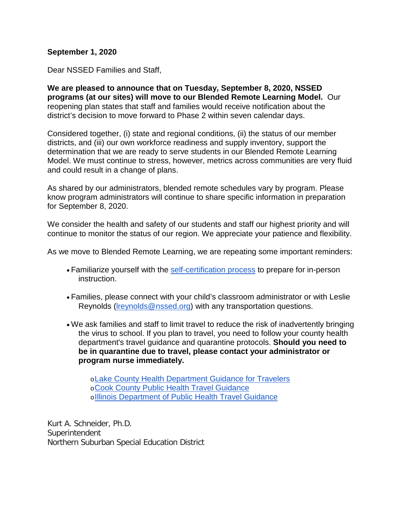## **September 1, 2020**

Dear NSSED Families and Staff,

**We are pleased to announce that on Tuesday, September 8, 2020, NSSED programs (at our sites) will move to our Blended Remote Learning Model.** Our reopening plan states that staff and families would receive notification about the district's decision to move forward to Phase 2 within seven calendar days.

Considered together, (i) state and regional conditions, (ii) the status of our member districts, and (iii) our own workforce readiness and supply inventory, support the determination that we are ready to serve students in our Blended Remote Learning Model. We must continue to stress, however, metrics across communities are very fluid and could result in a change of plans.

As shared by our administrators, blended remote schedules vary by program. Please know program administrators will continue to share specific information in preparation for September 8, 2020.

We consider the health and safety of our students and staff our highest priority and will continue to monitor the status of our region. We appreciate your patience and flexibility.

As we move to Blended Remote Learning, we are repeating some important reminders:

- Familiarize yourself with the [self-certification process](https://docs.google.com/document/d/1fSOHV3Ld9J0ByBo7kV4N7W9WHFpFBQBibNOo2wILNcw/edit#heading=h.1z7uigcjhpbw) to prepare for in-person instruction.
- Families, please connect with your child's classroom administrator or with Leslie Reynolds (*Ireynolds@nssed.org*) with any transportation questions.
- We ask families and staff to limit travel to reduce the risk of inadvertently bringing the virus to school. If you plan to travel, you need to follow your county health department's travel guidance and quarantine protocols. **Should you need to be in quarantine due to travel, please contact your administrator or program nurse immediately.**

o[Lake County Health Department Guidance for Travelers](https://www.lakecountyil.gov/4412/Community-Guidance-and-Resources#travelers) o[Cook County Public Health Travel Guidance](https://cookcountypublichealth.org/communicable-diseases/covid-19/covid-19-travel-guidance/) o[Illinois Department of Public Health Travel Guidance](https://www.dph.illinois.gov/topics-services/diseases-and-conditions/diseases-a-z-list/coronavirus/travel-guidance)

Kurt A. Schneider, Ph.D. Superintendent Northern Suburban Special Education District